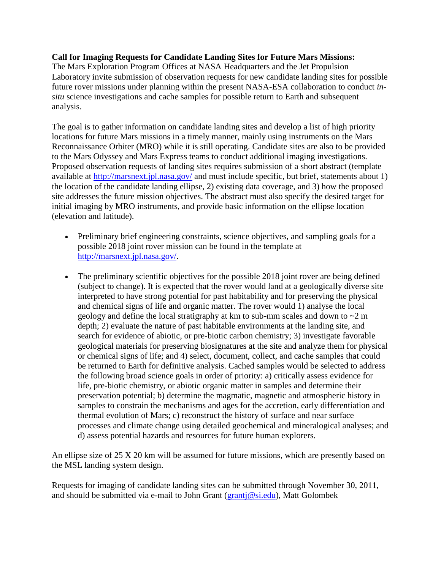## **Call for Imaging Requests for Candidate Landing Sites for Future Mars Missions:**

The Mars Exploration Program Offices at NASA Headquarters and the Jet Propulsion Laboratory invite submission of observation requests for new candidate landing sites for possible future rover missions under planning within the present NASA-ESA collaboration to conduct *insitu* science investigations and cache samples for possible return to Earth and subsequent analysis.

The goal is to gather information on candidate landing sites and develop a list of high priority locations for future Mars missions in a timely manner, mainly using instruments on the Mars Reconnaissance Orbiter (MRO) while it is still operating. Candidate sites are also to be provided to the Mars Odyssey and Mars Express teams to conduct additional imaging investigations. Proposed observation requests of landing sites requires submission of a short abstract (template available at<http://marsnext.jpl.nasa.gov/> and must include specific, but brief, statements about 1) the location of the candidate landing ellipse, 2) existing data coverage, and 3) how the proposed site addresses the future mission objectives. The abstract must also specify the desired target for initial imaging by MRO instruments, and provide basic information on the ellipse location (elevation and latitude).

- Preliminary brief engineering constraints, science objectives, and sampling goals for a possible 2018 joint rover mission can be found in the template at [http://marsnext.jpl.nasa.gov/.](http://marsnext.jpl.nasa.gov/)
- The preliminary scientific objectives for the possible 2018 joint rover are being defined (subject to change). It is expected that the rover would land at a geologically diverse site interpreted to have strong potential for past habitability and for preserving the physical and chemical signs of life and organic matter. The rover would 1) analyse the local geology and define the local stratigraphy at km to sub-mm scales and down to ~2 m depth; 2) evaluate the nature of past habitable environments at the landing site, and search for evidence of abiotic, or pre-biotic carbon chemistry; 3) investigate favorable geological materials for preserving biosignatures at the site and analyze them for physical or chemical signs of life; and 4) select, document, collect, and cache samples that could be returned to Earth for definitive analysis. Cached samples would be selected to address the following broad science goals in order of priority: a) critically assess evidence for life, pre-biotic chemistry, or abiotic organic matter in samples and determine their preservation potential; b) determine the magmatic, magnetic and atmospheric history in samples to constrain the mechanisms and ages for the accretion, early differentiation and thermal evolution of Mars; c) reconstruct the history of surface and near surface processes and climate change using detailed geochemical and mineralogical analyses; and d) assess potential hazards and resources for future human explorers.

An ellipse size of 25 X 20 km will be assumed for future missions, which are presently based on the MSL landing system design.

Requests for imaging of candidate landing sites can be submitted through November 30, 2011, and should be submitted via e-mail to John Grant ( $granti@si.edu$ ), Matt Golombek